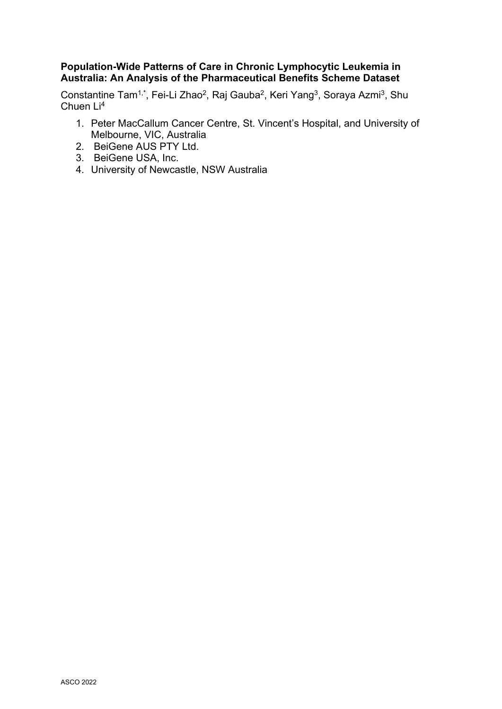## **Population-Wide Patterns of Care in Chronic Lymphocytic Leukemia in Australia: An Analysis of the Pharmaceutical Benefits Scheme Dataset**

Constantine Tam<sup>1,\*</sup>, Fei-Li Zhao<sup>2</sup>, Raj Gauba<sup>2</sup>, Keri Yang<sup>3</sup>, Soraya Azmi<sup>3</sup>, Shu Chuen Li4

- 1. Peter MacCallum Cancer Centre, St. Vincent's Hospital, and University of Melbourne, VIC, Australia
- 2. BeiGene AUS PTY Ltd.
- 3. BeiGene USA, Inc.
- 4. University of Newcastle, NSW Australia